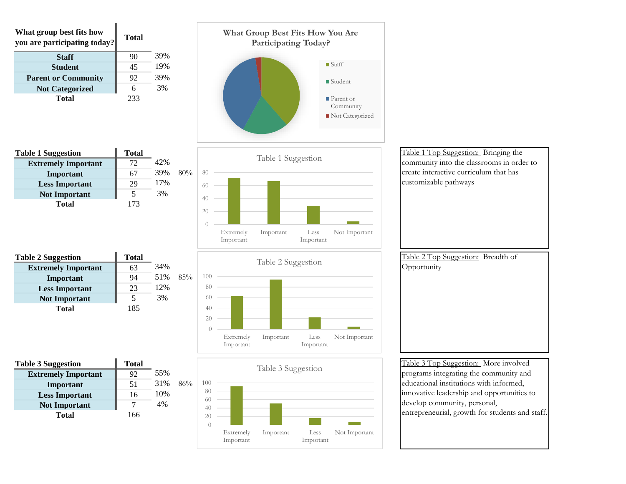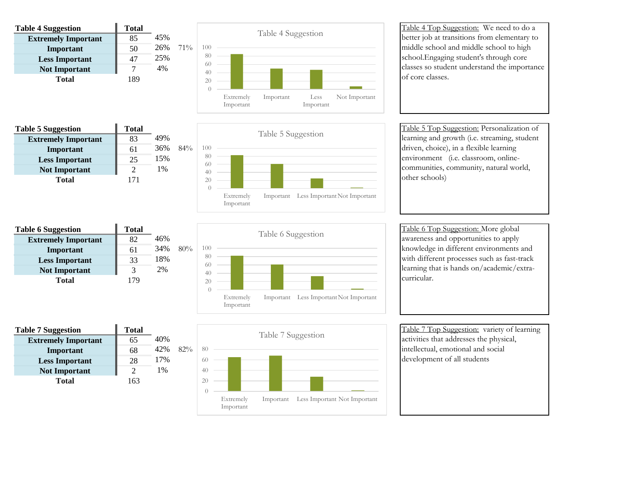| <b>Table 4 Suggestion</b>  | <b>Total</b> |     |        |
|----------------------------|--------------|-----|--------|
| <b>Extremely Important</b> | 85           | 45% |        |
| Important                  | 50           | 26% | $71\%$ |
| <b>Less Important</b>      | 47           | 25% |        |
| <b>Not Important</b>       |              | 4%  |        |
| Total                      | 189          |     |        |



Table 4 Top Suggestion: We need to do a better job at transitions from elementary to middle school and middle school to high school.Engaging student's through core classes so student understand the importance of core classes.

| <b>Table 5 Suggestion</b>  | <b>Total</b> |     |        |
|----------------------------|--------------|-----|--------|
| <b>Extremely Important</b> | 83           | 49% |        |
| Important                  | 61           | 36% | $84\%$ |
| <b>Less Important</b>      | 25           | 15% |        |
| <b>Not Important</b>       | 2            | 1%  |        |
| <b>Total</b>               | 171          |     |        |
|                            |              |     |        |



Table 5 Top Suggestion: Personalization of learning and growth (i.e. streaming, student driven, choice), in a flexible learning environment (i.e. classroom, onlinecommunities, community, natural world, other schools)

| <b>Table 6 Suggestion</b>  | <b>Total</b> |     |     |
|----------------------------|--------------|-----|-----|
| <b>Extremely Important</b> | 82           | 46% |     |
| Important                  | 61           | 34% | 80% |
| <b>Less Important</b>      | 33           | 18% |     |
| <b>Not Important</b>       | 3            | 2%  |     |
| <b>Total</b>               | 179          |     |     |
|                            |              |     |     |



Table 6 Top Suggestion: More global awareness and opportunities to apply knowledge in different environments and with different processes such as fast-track learning that is hands on/academic/extracurricular.

Table 7 Suggestion **Total Extremely Important** 65 40% **Important** 68 42% 82% Less Important 28 17% **Not Important** 2 1% **Total** 163 40 60 80



Table 7 Top Suggestion: variety of learning activities that addresses the physical, intellectual, emotional and social development of all students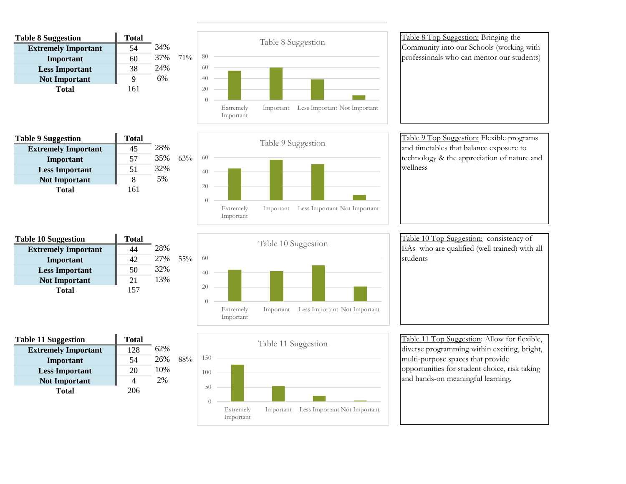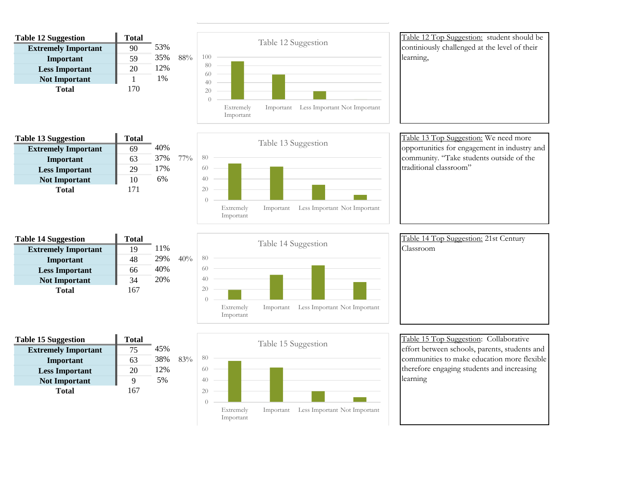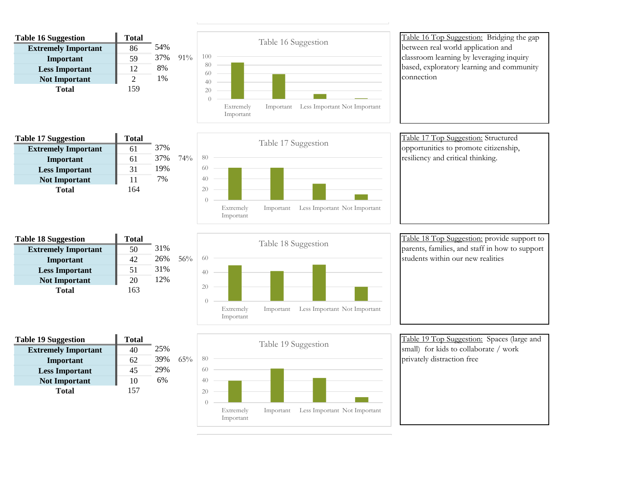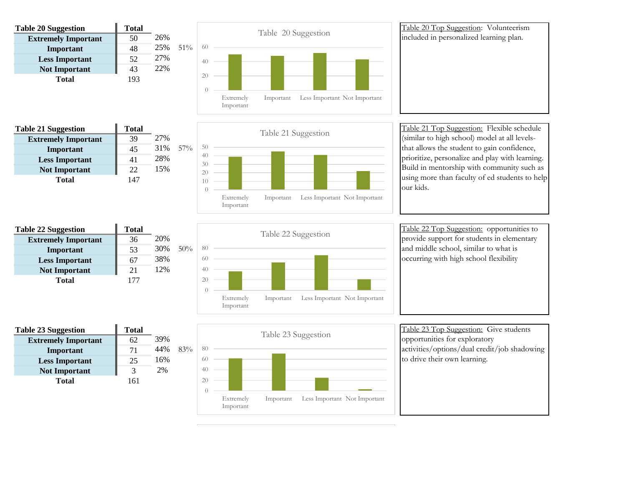

![](_page_5_Figure_1.jpeg)

![](_page_5_Figure_2.jpeg)

activities/options/dual credit/job shadowing

to drive their own learning.